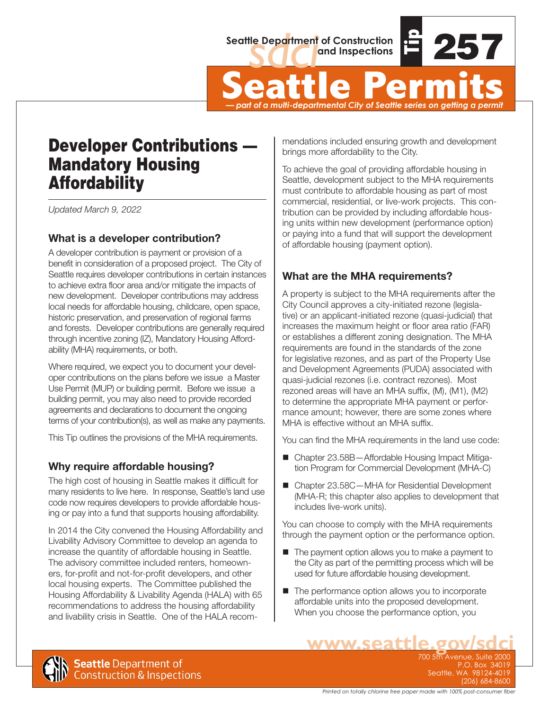

Seattle Department of Construction<br> **Seattle Permits**<br>  $\frac{1}{2}$ *— part of a multi-departmental City of Seattle series on getting a permit*

# Developer Contributions — Mandatory Housing Affordability

*Updated March 9, 2022*

## **What is a developer contribution?**

A developer contribution is payment or provision of a benefit in consideration of a proposed project. The City of Seattle requires developer contributions in certain instances to achieve extra floor area and/or mitigate the impacts of new development. Developer contributions may address local needs for affordable housing, childcare, open space, historic preservation, and preservation of regional farms and forests. Developer contributions are generally required through incentive zoning (IZ), Mandatory Housing Affordability (MHA) requirements, or both.

Where required, we expect you to document your developer contributions on the plans before we issue a Master Use Permit (MUP) or building permit. Before we issue a building permit, you may also need to provide recorded agreements and declarations to document the ongoing terms of your contribution(s), as well as make any payments.

This Tip outlines the provisions of the MHA requirements.

## **Why require affordable housing?**

The high cost of housing in Seattle makes it difficult for many residents to live here. In response, Seattle's land use code now requires developers to provide affordable housing or pay into a fund that supports housing affordability.

In 2014 the City convened the Housing Affordability and Livability Advisory Committee to develop an agenda to increase the quantity of affordable housing in Seattle. The advisory committee included renters, homeowners, for-profit and not-for-profit developers, and other local housing experts. The Committee published the Housing Affordability & Livability Agenda (HALA) with 65 recommendations to address the housing affordability and livability crisis in Seattle. One of the HALA recommendations included ensuring growth and development brings more affordability to the City.

To achieve the goal of providing affordable housing in Seattle, development subject to the MHA requirements must contribute to affordable housing as part of most commercial, residential, or live-work projects. This contribution can be provided by including affordable housing units within new development (performance option) or paying into a fund that will support the development of affordable housing (payment option).

## **What are the MHA requirements?**

A property is subject to the MHA requirements after the City Council approves a city-initiated rezone (legislative) or an applicant-initiated rezone (quasi-judicial) that increases the maximum height or floor area ratio (FAR) or establishes a different zoning designation. The MHA requirements are found in the standards of the zone for legislative rezones, and as part of the Property Use and Development Agreements (PUDA) associated with quasi-judicial rezones (i.e. contract rezones). Most rezoned areas will have an MHA suffix, (M), (M1), (M2) to determine the appropriate MHA payment or performance amount; however, there are some zones where MHA is effective without an MHA suffix.

You can find the MHA requirements in the land use code:

- Chapter 23.58B-Affordable Housing Impact Mitigation Program for Commercial Development (MHA-C)
- Chapter 23.58C MHA for Residential Development (MHA-R; this chapter also applies to development that includes live-work units).

You can choose to comply with the MHA requirements through the payment option or the performance option.

- The payment option allows you to make a payment to the City as part of the permitting process which will be used for future affordable housing development.
- The performance option allows you to incorporate affordable units into the proposed development. When you choose the performance option, you



**WWW.Seattle.gov/sdc** P.O. Box 34019 Seattle, WA 98124-4019 (206) 684-8600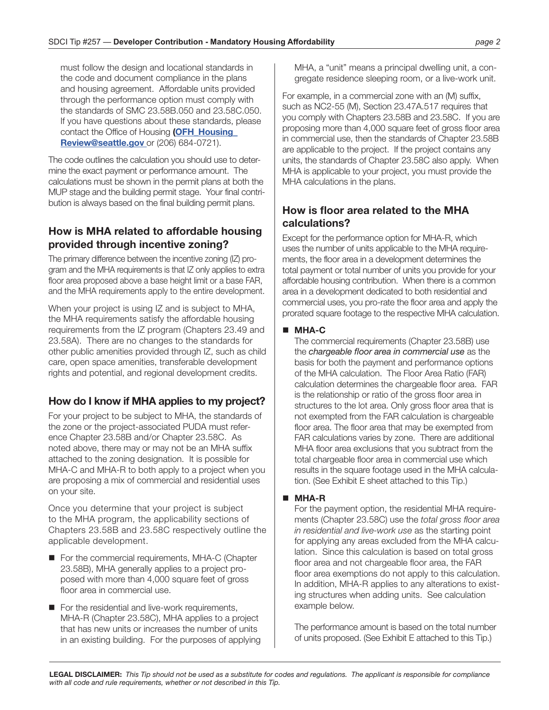must follow the design and locational standards in the code and document compliance in the plans and housing agreement. Affordable units provided through the performance option must comply with the standards of SMC 23.58B.050 and 23.58C.050. If you have questions about these standards, please contact the Office of Housing **([OFH\\_Housing\\_](mailto:OFH_Housing_Review@seattle.gov) [Review@seattle.gov](mailto:OFH_Housing_Review@seattle.gov)** or (206) 684-0721).

The code outlines the calculation you should use to determine the exact payment or performance amount. The calculations must be shown in the permit plans at both the MUP stage and the building permit stage. Your final contribution is always based on the final building permit plans.

## **How is MHA related to affordable housing provided through incentive zoning?**

The primary difference between the incentive zoning (IZ) program and the MHA requirements is that IZ only applies to extra floor area proposed above a base height limit or a base FAR, and the MHA requirements apply to the entire development.

When your project is using IZ and is subject to MHA, the MHA requirements satisfy the affordable housing requirements from the IZ program (Chapters 23.49 and 23.58A). There are no changes to the standards for other public amenities provided through IZ, such as child care, open space amenities, transferable development rights and potential, and regional development credits.

## **How do I know if MHA applies to my project?**

For your project to be subject to MHA, the standards of the zone or the project-associated PUDA must reference Chapter 23.58B and/or Chapter 23.58C. As noted above, there may or may not be an MHA suffix attached to the zoning designation. It is possible for MHA-C and MHA-R to both apply to a project when you are proposing a mix of commercial and residential uses on your site.

Once you determine that your project is subject to the MHA program, the applicability sections of Chapters 23.58B and 23.58C respectively outline the applicable development.

- For the commercial requirements, MHA-C (Chapter 23.58B), MHA generally applies to a project proposed with more than 4,000 square feet of gross floor area in commercial use.
- For the residential and live-work requirements, MHA-R (Chapter 23.58C), MHA applies to a project that has new units or increases the number of units in an existing building. For the purposes of applying

MHA, a "unit" means a principal dwelling unit, a congregate residence sleeping room, or a live-work unit.

For example, in a commercial zone with an (M) suffix, such as NC2-55 (M), Section 23.47A.517 requires that you comply with Chapters 23.58B and 23.58C. If you are proposing more than 4,000 square feet of gross floor area in commercial use, then the standards of Chapter 23.58B are applicable to the project. If the project contains any units, the standards of Chapter 23.58C also apply. When MHA is applicable to your project, you must provide the MHA calculations in the plans.

## **How is floor area related to the MHA calculations?**

Except for the performance option for MHA-R, which uses the number of units applicable to the MHA requirements, the floor area in a development determines the total payment or total number of units you provide for your affordable housing contribution. When there is a common area in a development dedicated to both residential and commercial uses, you pro-rate the floor area and apply the prorated square footage to the respective MHA calculation.

#### **MHA-C**

The commercial requirements (Chapter 23.58B) use the *chargeable floor area in commercial use* as the basis for both the payment and performance options of the MHA calculation. The Floor Area Ratio (FAR) calculation determines the chargeable floor area. FAR is the relationship or ratio of the gross floor area in structures to the lot area. Only gross floor area that is not exempted from the FAR calculation is chargeable floor area. The floor area that may be exempted from FAR calculations varies by zone. There are additional MHA floor area exclusions that you subtract from the total chargeable floor area in commercial use which results in the square footage used in the MHA calculation. (See Exhibit E sheet attached to this Tip.)

#### **MHA-R**

For the payment option, the residential MHA requirements (Chapter 23.58C) use the *total gross floor area in residential and live-work use* as the starting point for applying any areas excluded from the MHA calculation. Since this calculation is based on total gross floor area and not chargeable floor area, the FAR floor area exemptions do not apply to this calculation. In addition, MHA-R applies to any alterations to existing structures when adding units. See calculation example below.

The performance amount is based on the total number of units proposed. (See Exhibit E attached to this Tip.)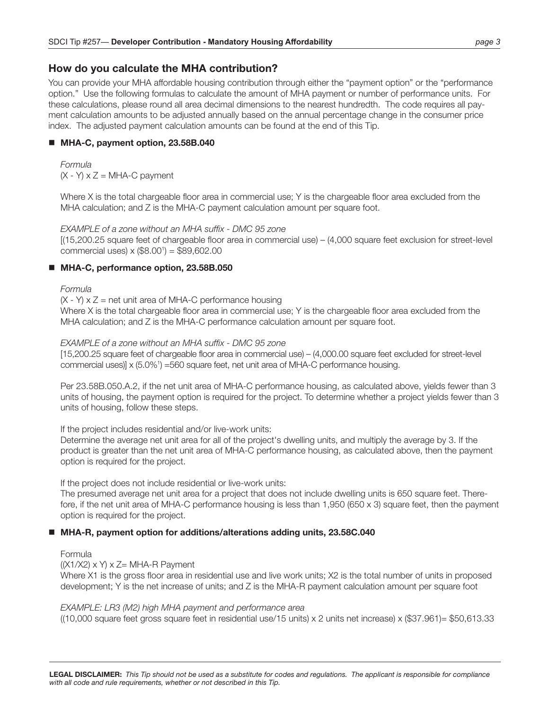### **How do you calculate the MHA contribution?**

You can provide your MHA affordable housing contribution through either the "payment option" or the "performance option." Use the following formulas to calculate the amount of MHA payment or number of performance units. For these calculations, please round all area decimal dimensions to the nearest hundredth. The code requires all payment calculation amounts to be adjusted annually based on the annual percentage change in the consumer price index. The adjusted payment calculation amounts can be found at the end of this Tip.

#### **MHA-C, payment option, 23.58B.040**

*Formula*  $(X - Y) \times Z = MHA-C$  payment

Where X is the total chargeable floor area in commercial use; Y is the chargeable floor area excluded from the MHA calculation; and Z is the MHA-C payment calculation amount per square foot.

*EXAMPLE of a zone without an MHA suffix - DMC 95 zone* [(15,200.25 square feet of chargeable floor area in commercial use) – (4,000 square feet exclusion for street-level commercial uses) x (\$8.001 ) = \$89,602.00

#### ■ MHA-C, performance option, 23.58B.050

#### *Formula*

 $(X - Y)$  x  $Z =$  net unit area of MHA-C performance housing Where X is the total chargeable floor area in commercial use; Y is the chargeable floor area excluded from the MHA calculation; and Z is the MHA-C performance calculation amount per square foot.

#### *EXAMPLE of a zone without an MHA suffix - DMC 95 zone*

[15,200.25 square feet of chargeable floor area in commercial use) – (4,000.00 square feet excluded for street-level commercial uses)] x (5.0%1 ) =560 square feet, net unit area of MHA-C performance housing.

Per 23.58B.050.A.2, if the net unit area of MHA-C performance housing, as calculated above, yields fewer than 3 units of housing, the payment option is required for the project. To determine whether a project yields fewer than 3 units of housing, follow these steps.

#### If the project includes residential and/or live-work units:

Determine the average net unit area for all of the project's dwelling units, and multiply the average by 3. If the product is greater than the net unit area of MHA-C performance housing, as calculated above, then the payment option is required for the project.

If the project does not include residential or live-work units:

The presumed average net unit area for a project that does not include dwelling units is 650 square feet. Therefore, if the net unit area of MHA-C performance housing is less than 1,950 (650 x 3) square feet, then the payment option is required for the project.

#### **MHA-R, payment option for additions/alterations adding units, 23.58C.040**

#### Formula

#### $(X1/X2)$  x Y) x Z= MHA-R Payment

Where X1 is the gross floor area in residential use and live work units; X2 is the total number of units in proposed development; Y is the net increase of units; and Z is the MHA-R payment calculation amount per square foot

*EXAMPLE: LR3 (M2) high MHA payment and performance area*

((10,000 square feet gross square feet in residential use/15 units) x 2 units net increase) x (\$37.961)= \$50,613.33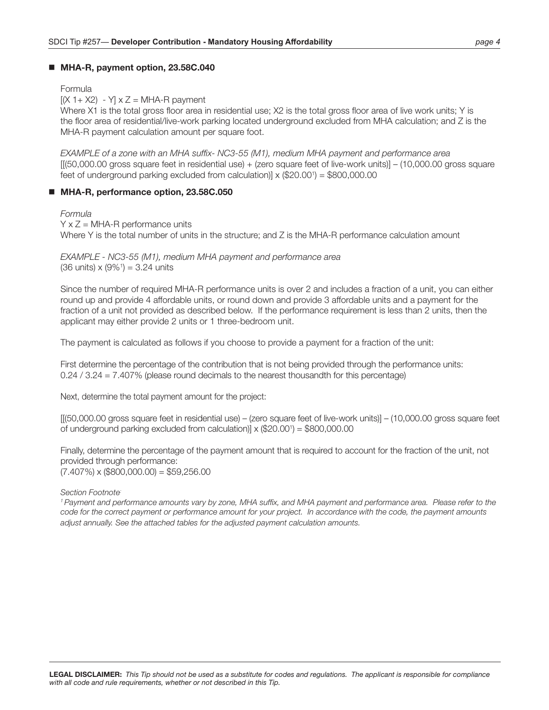#### **MHA-R, payment option, 23.58C.040**

#### Formula

 $[(X 1 + X2) - Y] \times Z = MHA-R$  payment

Where X1 is the total gross floor area in residential use; X2 is the total gross floor area of live work units; Y is the floor area of residential/live-work parking located underground excluded from MHA calculation; and Z is the MHA-R payment calculation amount per square foot.

*EXAMPLE of a zone with an MHA suffix- NC3-55 (M1), medium MHA payment and performance area* [[(50,000.00 gross square feet in residential use) + (zero square feet of live-work units)] – (10,000.00 gross square feet of underground parking excluded from calculation)]  $\times$  (\$20.00<sup>1</sup>) = \$800,000.00

#### ■ MHA-R, performance option, 23.58C.050

#### *Formula*

 $Y \times Z = MHA-R$  performance units Where Y is the total number of units in the structure; and Z is the MHA-R performance calculation amount

*EXAMPLE - NC3-55 (M1), medium MHA payment and performance area*  $(36 \text{ units}) \times (9\%) = 3.24 \text{ units}$ 

Since the number of required MHA-R performance units is over 2 and includes a fraction of a unit, you can either round up and provide 4 affordable units, or round down and provide 3 affordable units and a payment for the fraction of a unit not provided as described below. If the performance requirement is less than 2 units, then the applicant may either provide 2 units or 1 three-bedroom unit.

The payment is calculated as follows if you choose to provide a payment for a fraction of the unit:

First determine the percentage of the contribution that is not being provided through the performance units: 0.24 / 3.24 = 7.407% (please round decimals to the nearest thousandth for this percentage)

Next, determine the total payment amount for the project:

[[(50,000.00 gross square feet in residential use) – (zero square feet of live-work units)] – (10,000.00 gross square feet of underground parking excluded from calculation)] x (\$20.001 ) = \$800,000.00

Finally, determine the percentage of the payment amount that is required to account for the fraction of the unit, not provided through performance:  $(7.407\%) \times (\$800,000.00) = \$59,256.00$ 

#### *Section Footnote:*

*1 Payment and performance amounts vary by zone, MHA suffix, and MHA payment and performance area. Please refer to the code for the correct payment or performance amount for your project. In accordance with the code, the payment amounts adjust annually. See the attached tables for the adjusted payment calculation amounts.*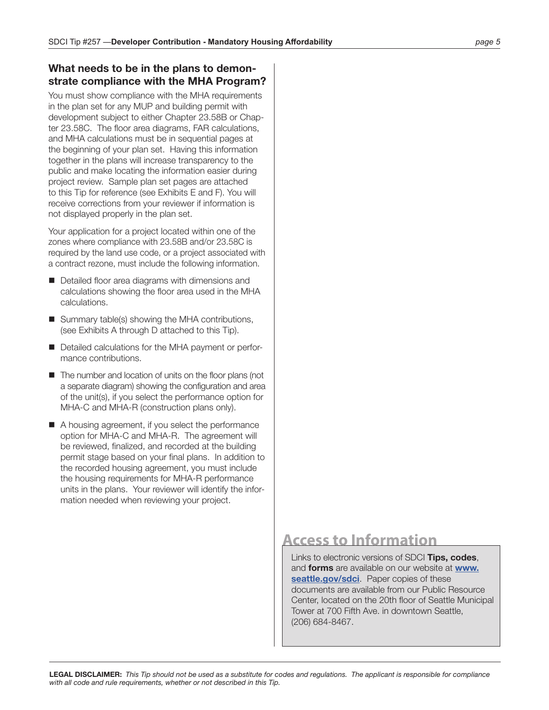#### **What needs to be in the plans to demonstrate compliance with the MHA Program?**

You must show compliance with the MHA requirements in the plan set for any MUP and building permit with development subject to either Chapter 23.58B or Chapter 23.58C. The floor area diagrams, FAR calculations, and MHA calculations must be in sequential pages at the beginning of your plan set. Having this information together in the plans will increase transparency to the public and make locating the information easier during project review. Sample plan set pages are attached to this Tip for reference (see Exhibits E and F). You will receive corrections from your reviewer if information is not displayed properly in the plan set.

Your application for a project located within one of the zones where compliance with 23.58B and/or 23.58C is required by the land use code, or a project associated with a contract rezone, must include the following information.

- Detailed floor area diagrams with dimensions and calculations showing the floor area used in the MHA calculations.
- Summary table(s) showing the MHA contributions, (see Exhibits A through D attached to this Tip).
- Detailed calculations for the MHA payment or performance contributions.
- The number and location of units on the floor plans (not a separate diagram) showing the configuration and area of the unit(s), if you select the performance option for MHA-C and MHA-R (construction plans only).
- A housing agreement, if you select the performance option for MHA-C and MHA-R. The agreement will be reviewed, finalized, and recorded at the building permit stage based on your final plans. In addition to the recorded housing agreement, you must include the housing requirements for MHA-R performance units in the plans. Your reviewer will identify the information needed when reviewing your project.

## **Access to Information**

Links to electronic versions of SDCI **Tips, codes**, and **forms** are available on our website at **[www.](http://www.seattle.gov/sdci) [seattle.gov/sdci](http://www.seattle.gov/sdci)**. Paper copies of these documents are available from our Public Resource Center, located on the 20th floor of Seattle Municipal Tower at 700 Fifth Ave. in downtown Seattle, (206) 684-8467.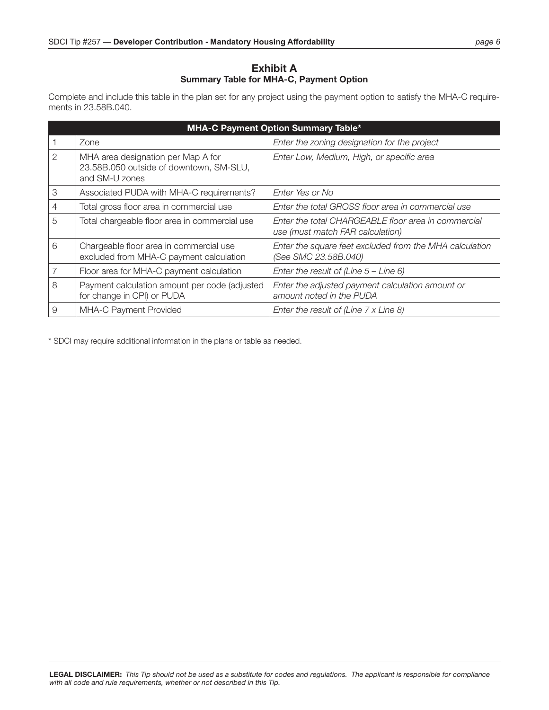#### **Exhibit A Summary Table for MHA-C, Payment Option**

Complete and include this table in the plan set for any project using the payment option to satisfy the MHA-C requirements in 23.58B.040.

| <b>MHA-C Payment Option Summary Table*</b> |                                                                                                 |                                                                                         |  |
|--------------------------------------------|-------------------------------------------------------------------------------------------------|-----------------------------------------------------------------------------------------|--|
|                                            | Zone                                                                                            | Enter the zoning designation for the project                                            |  |
| $\overline{2}$                             | MHA area designation per Map A for<br>23.58B.050 outside of downtown, SM-SLU,<br>and SM-U zones | Enter Low, Medium, High, or specific area                                               |  |
| 3                                          | Associated PUDA with MHA-C requirements?                                                        | Enter Yes or No                                                                         |  |
| 4                                          | Total gross floor area in commercial use                                                        | Enter the total GROSS floor area in commercial use                                      |  |
| 5                                          | Total chargeable floor area in commercial use                                                   | Enter the total CHARGEABLE floor area in commercial<br>use (must match FAR calculation) |  |
| 6                                          | Chargeable floor area in commercial use<br>excluded from MHA-C payment calculation              | Enter the square feet excluded from the MHA calculation<br>(See SMC 23.58B.040)         |  |
|                                            | Floor area for MHA-C payment calculation                                                        | Enter the result of (Line $5 -$ Line 6)                                                 |  |
| 8                                          | Payment calculation amount per code (adjusted<br>for change in CPI) or PUDA                     | Enter the adjusted payment calculation amount or<br>amount noted in the PUDA            |  |
| 9                                          | MHA-C Payment Provided                                                                          | Enter the result of (Line 7 x Line 8)                                                   |  |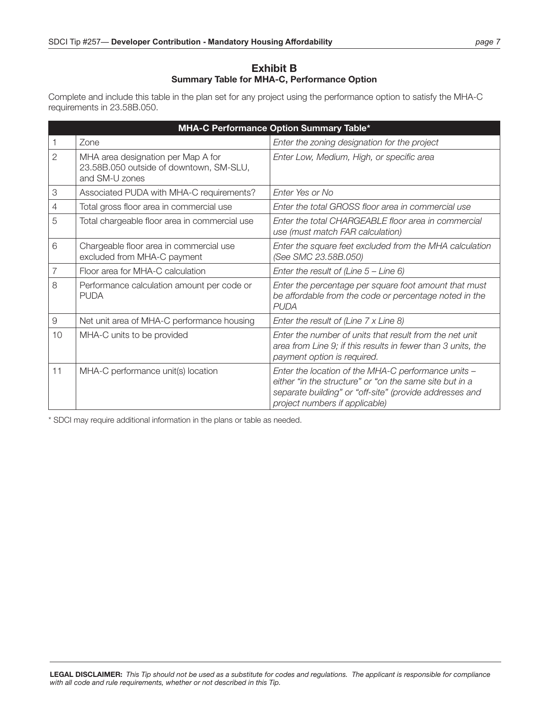#### **Exhibit B Summary Table for MHA-C, Performance Option**

Complete and include this table in the plan set for any project using the performance option to satisfy the MHA-C requirements in 23.58B.050.

| MHA-C Performance Option Summary Table* |                                                                                                 |                                                                                                                                                                                                             |  |
|-----------------------------------------|-------------------------------------------------------------------------------------------------|-------------------------------------------------------------------------------------------------------------------------------------------------------------------------------------------------------------|--|
|                                         | Zone                                                                                            | Enter the zoning designation for the project                                                                                                                                                                |  |
| $\overline{2}$                          | MHA area designation per Map A for<br>23.58B.050 outside of downtown, SM-SLU,<br>and SM-U zones | Enter Low, Medium, High, or specific area                                                                                                                                                                   |  |
| 3                                       | Associated PUDA with MHA-C requirements?                                                        | Enter Yes or No                                                                                                                                                                                             |  |
| 4                                       | Total gross floor area in commercial use                                                        | Enter the total GROSS floor area in commercial use                                                                                                                                                          |  |
| 5                                       | Total chargeable floor area in commercial use                                                   | Enter the total CHARGEABLE floor area in commercial<br>use (must match FAR calculation)                                                                                                                     |  |
| 6                                       | Chargeable floor area in commercial use<br>excluded from MHA-C payment                          | Enter the square feet excluded from the MHA calculation<br>(See SMC 23.58B.050)                                                                                                                             |  |
| $\overline{7}$                          | Floor area for MHA-C calculation                                                                | Enter the result of (Line $5 -$ Line 6)                                                                                                                                                                     |  |
| 8                                       | Performance calculation amount per code or<br><b>PUDA</b>                                       | Enter the percentage per square foot amount that must<br>be affordable from the code or percentage noted in the<br><b>PUDA</b>                                                                              |  |
| $\Theta$                                | Net unit area of MHA-C performance housing                                                      | Enter the result of (Line 7 x Line 8)                                                                                                                                                                       |  |
| 10                                      | MHA-C units to be provided                                                                      | Enter the number of units that result from the net unit<br>area from Line 9; if this results in fewer than 3 units, the<br>payment option is required.                                                      |  |
| 11                                      | MHA-C performance unit(s) location                                                              | Enter the location of the MHA-C performance units -<br>either "in the structure" or "on the same site but in a<br>separate building" or "off-site" (provide addresses and<br>project numbers if applicable) |  |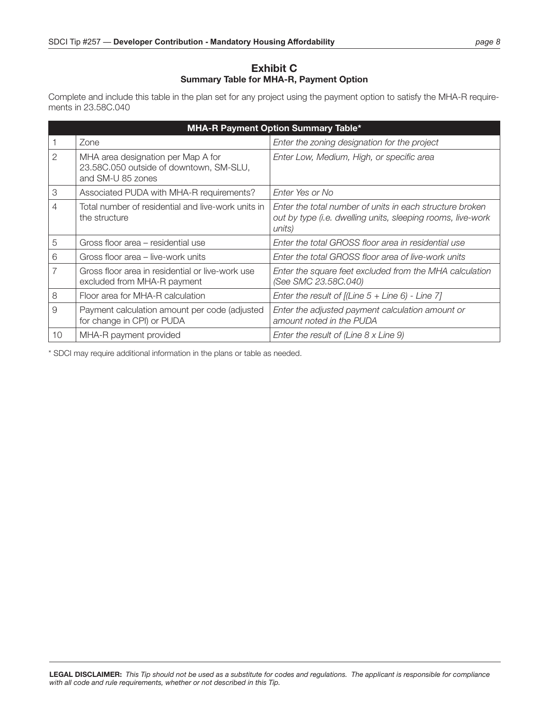#### **Exhibit C Summary Table for MHA-R, Payment Option**

Complete and include this table in the plan set for any project using the payment option to satisfy the MHA-R requirements in 23.58C.040

| <b>MHA-R Payment Option Summary Table*</b> |                                                                                                    |                                                                                                                                   |  |
|--------------------------------------------|----------------------------------------------------------------------------------------------------|-----------------------------------------------------------------------------------------------------------------------------------|--|
|                                            | Zone                                                                                               | Enter the zoning designation for the project                                                                                      |  |
| 2                                          | MHA area designation per Map A for<br>23.58C.050 outside of downtown, SM-SLU,<br>and SM-U 85 zones | Enter Low, Medium, High, or specific area                                                                                         |  |
| 3                                          | Associated PUDA with MHA-R requirements?                                                           | Enter Yes or No                                                                                                                   |  |
| 4                                          | Total number of residential and live-work units in<br>the structure                                | Enter the total number of units in each structure broken<br>out by type (i.e. dwelling units, sleeping rooms, live-work<br>units) |  |
| 5                                          | Gross floor area – residential use                                                                 | Enter the total GROSS floor area in residential use                                                                               |  |
| 6                                          | Gross floor area – live-work units                                                                 | Enter the total GROSS floor area of live-work units                                                                               |  |
| 7                                          | Gross floor area in residential or live-work use<br>excluded from MHA-R payment                    | Enter the square feet excluded from the MHA calculation<br>(See SMC 23.58C.040)                                                   |  |
| 8                                          | Floor area for MHA-R calculation                                                                   | Enter the result of $[(Line 5 + Line 6) - Line 7]$                                                                                |  |
| 9                                          | Payment calculation amount per code (adjusted<br>for change in CPI) or PUDA                        | Enter the adjusted payment calculation amount or<br>amount noted in the PUDA                                                      |  |
| 10                                         | MHA-R payment provided                                                                             | Enter the result of (Line $8 \times$ Line $9$ )                                                                                   |  |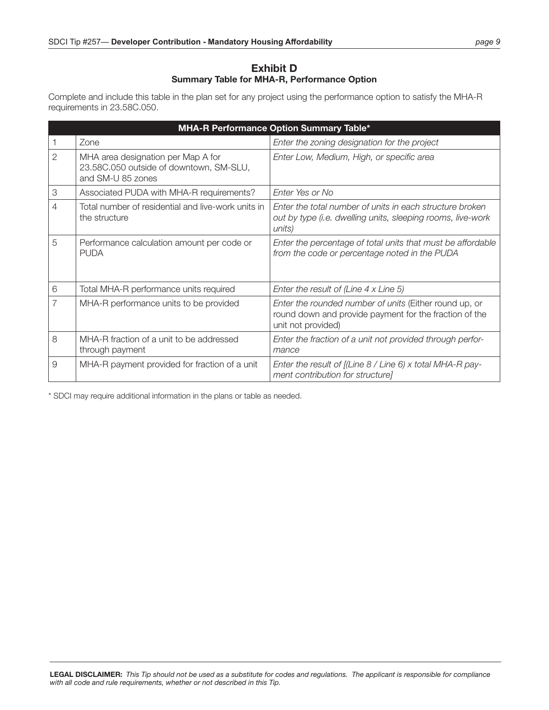#### **Exhibit D Summary Table for MHA-R, Performance Option**

Complete and include this table in the plan set for any project using the performance option to satisfy the MHA-R requirements in 23.58C.050.

| MHA-R Performance Option Summary Table* |                                                                                                    |                                                                                                                                        |  |
|-----------------------------------------|----------------------------------------------------------------------------------------------------|----------------------------------------------------------------------------------------------------------------------------------------|--|
|                                         | Zone                                                                                               | Enter the zoning designation for the project                                                                                           |  |
| $\overline{2}$                          | MHA area designation per Map A for<br>23.58C.050 outside of downtown, SM-SLU,<br>and SM-U 85 zones | Enter Low, Medium, High, or specific area                                                                                              |  |
| 3                                       | Associated PUDA with MHA-R requirements?                                                           | Enter Yes or No                                                                                                                        |  |
| $\overline{4}$                          | Total number of residential and live-work units in<br>the structure                                | Enter the total number of units in each structure broken<br>out by type (i.e. dwelling units, sleeping rooms, live-work<br>units)      |  |
| 5                                       | Performance calculation amount per code or<br><b>PUDA</b>                                          | Enter the percentage of total units that must be affordable<br>from the code or percentage noted in the PUDA                           |  |
| 6                                       | Total MHA-R performance units required                                                             | Enter the result of (Line $4 \times$ Line 5)                                                                                           |  |
| $\overline{7}$                          | MHA-R performance units to be provided                                                             | Enter the rounded number of units (Either round up, or<br>round down and provide payment for the fraction of the<br>unit not provided) |  |
| 8                                       | MHA-R fraction of a unit to be addressed<br>through payment                                        | Enter the fraction of a unit not provided through perfor-<br>mance                                                                     |  |
| 9                                       | MHA-R payment provided for fraction of a unit                                                      | Enter the result of $[(Line 8 / Line 6) x total MHA-R pay-$<br>ment contribution for structure]                                        |  |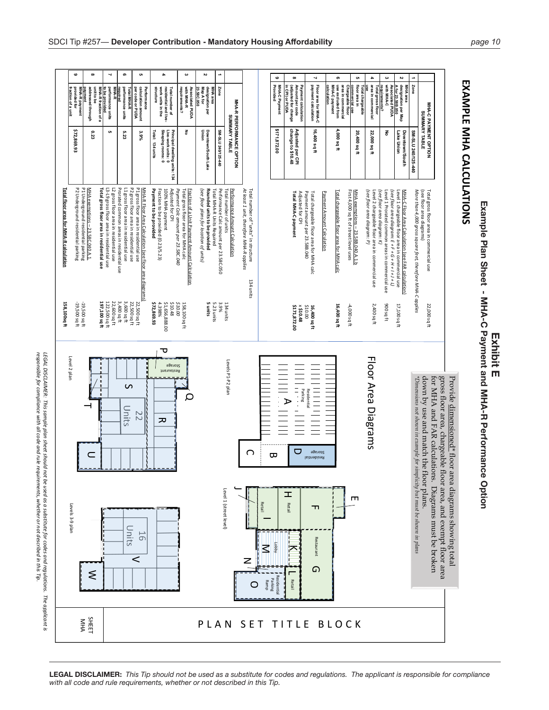| Example Plan Sheet - MHA-C Payment and MHA-R Performance Optic | ENE F |
|----------------------------------------------------------------|-------|

# **EXAMPLE** EXAMPLE MHA CALCULATIONS **CALCULATIONS**



**LEGAL DISCLAIMER:** *This Tip should not be used as a substitute for codes and regulations. The applicant is responsible for compliance with all code and rule requirements, whether or not described in this Tip.*

*responsible for*

*compliance*

*with all code*

*and rule*

*requirements,*

*whether or not*

*described*

*in this Tip.*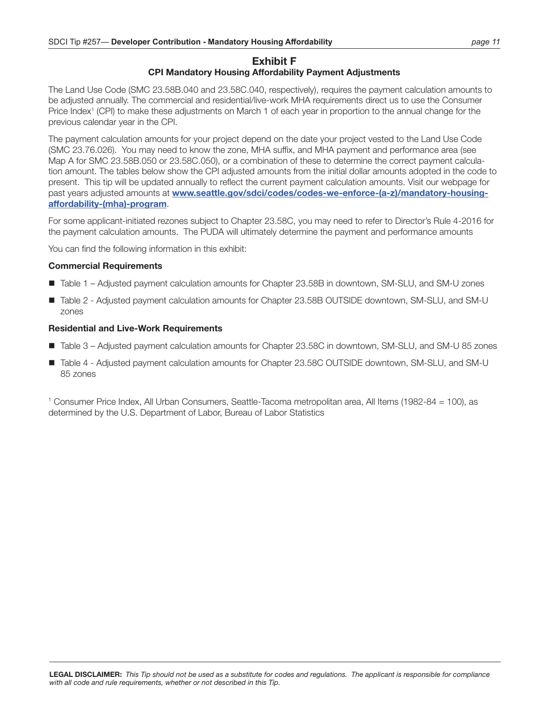#### **Exhibit F CPI Mandatory Housing Affordability Payment Adjustments**

The Land Use Code (SMC 23.58B.040 and 23.58C.040, respectively), requires the payment calculation amounts to be adjusted annually. The commercial and residential/live-work MHA requirements direct us to use the Consumer Price Index<sup>1</sup> (CPI) to make these adjustments on March 1 of each year in proportion to the annual change for the previous calendar year in the CPI.

The payment calculation amounts for your project depend on the date your project vested to the Land Use Code (SMC 23.76.026). You may need to know the zone, MHA suffix, and MHA payment and performance area (see Map A for SMC 23.58B.050 or 23.58C.050), or a combination of these to determine the correct payment calculation amount. The tables below show the CPI adjusted amounts from the initial dollar amounts adopted in the code to present. This tip will be updated annually to reflect the current payment calculation amounts. Visit our webpage for past years adjusted amounts at **[www.seattle.gov/sdci/codes/codes-we-enforce-\(a-z\)/mandatory-housing](http://www.seattle.gov/sdci/codes/codes-we-enforce-(a-z)/mandatory-housing-affordability-(mha)-program)[affordability-\(mha\)-program](http://www.seattle.gov/sdci/codes/codes-we-enforce-(a-z)/mandatory-housing-affordability-(mha)-program)**.

For some applicant-initiated rezones subject to Chapter 23.58C, you may need to refer to Director's Rule 4-2016 for the payment calculation amounts. The PUDA will ultimately determine the payment and performance amounts

You can find the following information in this exhibit:

#### **Commercial Requirements**

- Table 1 Adjusted payment calculation amounts for Chapter 23.58B in downtown, SM-SLU, and SM-U zones
- Table 2 Adjusted payment calculation amounts for Chapter 23.58B OUTSIDE downtown, SM-SLU, and SM-U zones

#### **Residential and Live-Work Requirements**

- Table 3 Adjusted payment calculation amounts for Chapter 23.58C in downtown, SM-SLU, and SM-U 85 zones
- Table 4 Adjusted payment calculation amounts for Chapter 23.58C OUTSIDE downtown, SM-SLU, and SM-U 85 zones

1 Consumer Price Index, All Urban Consumers, Seattle-Tacoma metropolitan area, All Items (1982-84 = 100), as determined by the U.S. Department of Labor, Bureau of Labor Statistics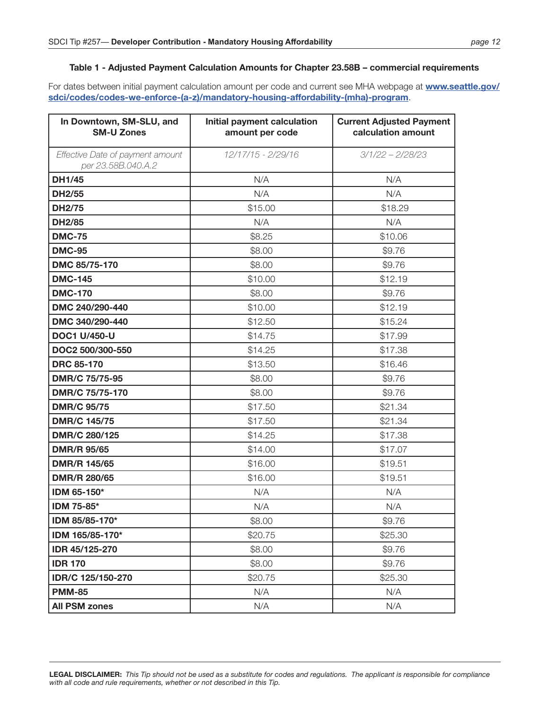#### **Table 1 - Adjusted Payment Calculation Amounts for Chapter 23.58B – commercial requirements**

| In Downtown, SM-SLU, and<br><b>SM-U Zones</b>          | Initial payment calculation<br>amount per code | <b>Current Adjusted Payment</b><br>calculation amount |
|--------------------------------------------------------|------------------------------------------------|-------------------------------------------------------|
| Effective Date of payment amount<br>per 23.58B.040.A.2 | 12/17/15 - 2/29/16                             | $3/1/22 - 2/28/23$                                    |
| <b>DH1/45</b>                                          | N/A                                            | N/A                                                   |
| <b>DH2/55</b>                                          | N/A                                            | N/A                                                   |
| <b>DH2/75</b>                                          | \$15.00                                        | \$18.29                                               |
| <b>DH2/85</b>                                          | N/A                                            | N/A                                                   |
| <b>DMC-75</b>                                          | \$8.25                                         | \$10.06                                               |
| <b>DMC-95</b>                                          | \$8.00                                         | \$9.76                                                |
| DMC 85/75-170                                          | \$8.00                                         | \$9.76                                                |
| <b>DMC-145</b>                                         | \$10.00                                        | \$12.19                                               |
| <b>DMC-170</b>                                         | \$8.00                                         | \$9.76                                                |
| DMC 240/290-440                                        | \$10.00                                        | \$12.19                                               |
| DMC 340/290-440                                        | \$12.50                                        | \$15.24                                               |
| <b>DOC1 U/450-U</b>                                    | \$14.75                                        | \$17.99                                               |
| DOC2 500/300-550                                       | \$14.25                                        | \$17.38                                               |
| <b>DRC 85-170</b>                                      | \$13.50                                        | \$16.46                                               |
| DMR/C 75/75-95                                         | \$8.00                                         | \$9.76                                                |
| DMR/C 75/75-170                                        | \$8.00                                         | \$9.76                                                |
| <b>DMR/C 95/75</b>                                     | \$17.50                                        | \$21.34                                               |
| <b>DMR/C 145/75</b>                                    | \$17.50                                        | \$21.34                                               |
| DMR/C 280/125                                          | \$14.25                                        | \$17.38                                               |
| <b>DMR/R 95/65</b>                                     | \$14.00                                        | \$17.07                                               |
| <b>DMR/R 145/65</b>                                    | \$16.00                                        | \$19.51                                               |
| DMR/R 280/65                                           | \$16.00                                        | \$19.51                                               |
| IDM 65-150*                                            | N/A                                            | N/A                                                   |
| IDM 75-85*                                             | N/A                                            | N/A                                                   |
| IDM 85/85-170*                                         | \$8.00                                         | \$9.76                                                |
| IDM 165/85-170*                                        | \$20.75                                        | \$25.30                                               |
| IDR 45/125-270                                         | \$8.00                                         | \$9.76                                                |
| <b>IDR 170</b>                                         | \$8.00                                         | \$9.76                                                |
| IDR/C 125/150-270                                      | \$20.75                                        | \$25.30                                               |
| <b>PMM-85</b>                                          | N/A                                            | N/A                                                   |
| <b>All PSM zones</b>                                   | N/A                                            | N/A                                                   |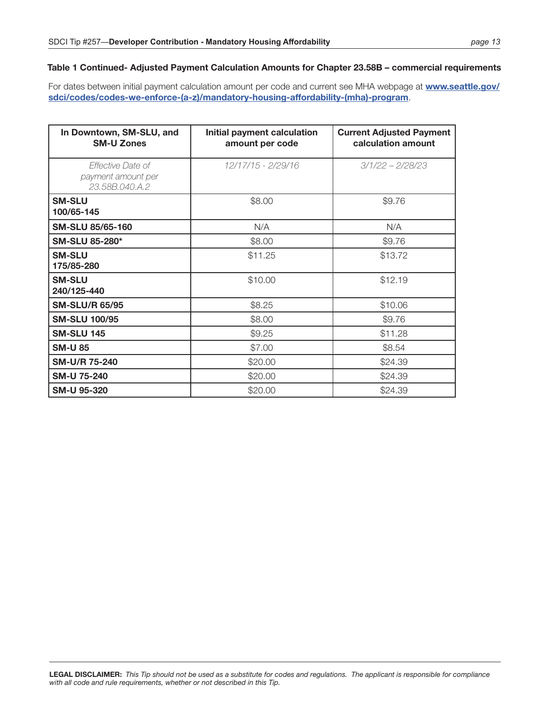#### **Table 1 Continued- Adjusted Payment Calculation Amounts for Chapter 23.58B – commercial requirements**

| In Downtown, SM-SLU, and<br><b>SM-U Zones</b>             | Initial payment calculation<br>amount per code | <b>Current Adjusted Payment</b><br>calculation amount |
|-----------------------------------------------------------|------------------------------------------------|-------------------------------------------------------|
| Effective Date of<br>payment amount per<br>23.58B.040.A.2 | 12/17/15 - 2/29/16                             | $3/1/22 - 2/28/23$                                    |
| <b>SM-SLU</b><br>100/65-145                               | \$8.00                                         | \$9.76                                                |
| <b>SM-SLU 85/65-160</b>                                   | N/A                                            | N/A                                                   |
| <b>SM-SLU 85-280*</b>                                     | \$8.00                                         | \$9.76                                                |
| <b>SM-SLU</b><br>175/85-280                               | \$11.25                                        | \$13.72                                               |
| <b>SM-SLU</b><br>240/125-440                              | \$10.00                                        | \$12.19                                               |
| <b>SM-SLU/R 65/95</b>                                     | \$8.25                                         | \$10.06                                               |
| <b>SM-SLU 100/95</b>                                      | \$8.00                                         | \$9.76                                                |
| <b>SM-SLU 145</b>                                         | \$9.25                                         | \$11.28                                               |
| <b>SM-U 85</b>                                            | \$7.00                                         | \$8.54                                                |
| SM-U/R 75-240                                             | \$20.00                                        | \$24.39                                               |
| <b>SM-U 75-240</b>                                        | \$20.00                                        | \$24.39                                               |
| <b>SM-U 95-320</b>                                        | \$20.00                                        | \$24.39                                               |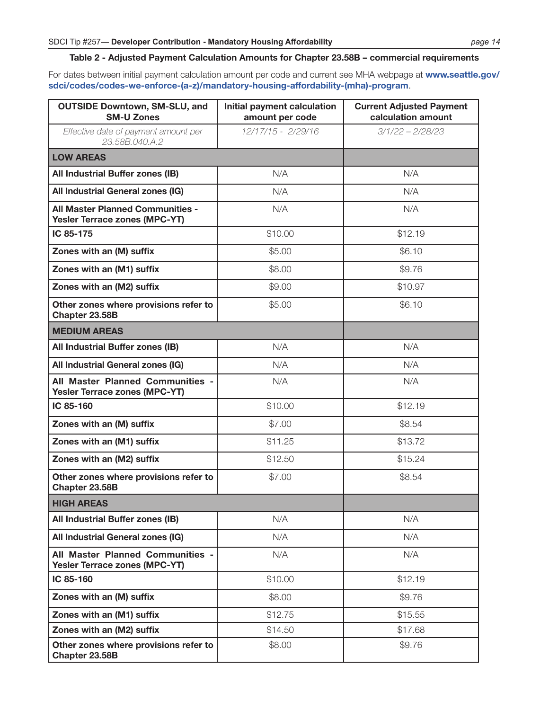#### **Table 2 - Adjusted Payment Calculation Amounts for Chapter 23.58B – commercial requirements**

| <b>OUTSIDE Downtown, SM-SLU, and</b><br><b>SM-U Zones</b>                       | Initial payment calculation<br>amount per code | <b>Current Adjusted Payment</b><br>calculation amount |  |  |  |
|---------------------------------------------------------------------------------|------------------------------------------------|-------------------------------------------------------|--|--|--|
| Effective date of payment amount per<br>23,58B,040,A,2                          | 12/17/15 - 2/29/16                             | $3/1/22 - 2/28/23$                                    |  |  |  |
| <b>LOW AREAS</b>                                                                |                                                |                                                       |  |  |  |
| All Industrial Buffer zones (IB)                                                | N/A                                            | N/A                                                   |  |  |  |
| All Industrial General zones (IG)                                               | N/A                                            | N/A                                                   |  |  |  |
| <b>All Master Planned Communities -</b><br><b>Yesler Terrace zones (MPC-YT)</b> | N/A                                            | N/A                                                   |  |  |  |
| IC 85-175                                                                       | \$10.00                                        | \$12.19                                               |  |  |  |
| Zones with an (M) suffix                                                        | \$5.00                                         | \$6.10                                                |  |  |  |
| Zones with an (M1) suffix                                                       | \$8.00                                         | \$9.76                                                |  |  |  |
| Zones with an (M2) suffix                                                       | \$9.00                                         | \$10.97                                               |  |  |  |
| Other zones where provisions refer to<br>Chapter 23.58B                         | \$5.00                                         | \$6.10                                                |  |  |  |
| <b>MEDIUM AREAS</b>                                                             |                                                |                                                       |  |  |  |
| All Industrial Buffer zones (IB)                                                | N/A                                            | N/A                                                   |  |  |  |
| All Industrial General zones (IG)                                               | N/A                                            | N/A                                                   |  |  |  |
| All Master Planned Communities -<br>Yesler Terrace zones (MPC-YT)               | N/A                                            | N/A                                                   |  |  |  |
| IC 85-160                                                                       | \$10.00                                        | \$12.19                                               |  |  |  |
| Zones with an (M) suffix                                                        | \$7.00                                         | \$8.54                                                |  |  |  |
| Zones with an (M1) suffix                                                       | \$11.25                                        | \$13.72                                               |  |  |  |
| Zones with an (M2) suffix                                                       | \$12.50                                        | \$15.24                                               |  |  |  |
| Other zones where provisions refer to<br>Chapter 23.58B                         | \$7.00                                         | \$8.54                                                |  |  |  |
| <b>HIGH AREAS</b>                                                               |                                                |                                                       |  |  |  |
| All Industrial Buffer zones (IB)                                                | N/A                                            | N/A                                                   |  |  |  |
| All Industrial General zones (IG)                                               | N/A                                            | N/A                                                   |  |  |  |
| All Master Planned Communities -<br>Yesler Terrace zones (MPC-YT)               | N/A                                            | N/A                                                   |  |  |  |
| IC 85-160                                                                       | \$10.00                                        | \$12.19                                               |  |  |  |
| Zones with an (M) suffix                                                        | \$8.00                                         | \$9.76                                                |  |  |  |
| Zones with an (M1) suffix                                                       | \$12.75                                        | \$15.55                                               |  |  |  |
| Zones with an (M2) suffix                                                       | \$14.50                                        | \$17.68                                               |  |  |  |
| Other zones where provisions refer to<br>Chapter 23.58B                         | \$8.00                                         | \$9.76                                                |  |  |  |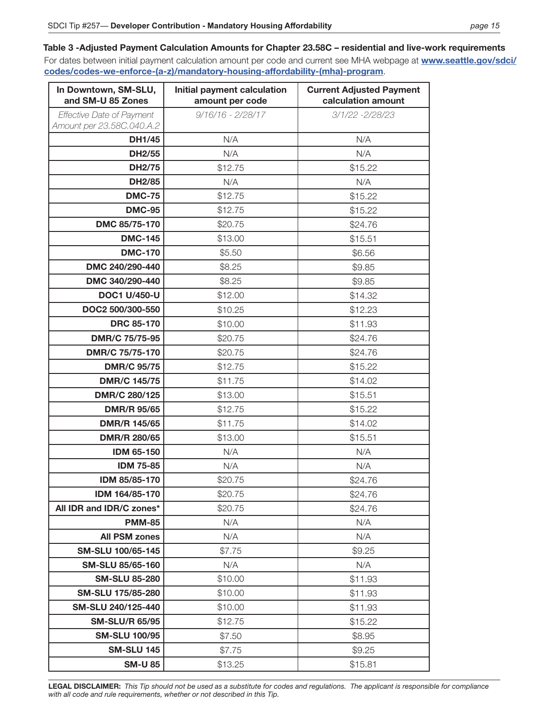#### **Table 3 -Adjusted Payment Calculation Amounts for Chapter 23.58C – residential and live-work requirements** For dates between initial payment calculation amount per code and current see MHA webpage at **[www.seattle.gov/sdci/](http://www.seattle.gov/sdci/codes/codes-we-enforce-(a-z)/mandatory-housing-affordability-(mha)-program) [codes/codes-we-enforce-\(a-z\)/mandatory-housing-affordability-\(mha\)-program](http://www.seattle.gov/sdci/codes/codes-we-enforce-(a-z)/mandatory-housing-affordability-(mha)-program)**.

| In Downtown, SM-SLU,<br>and SM-U 85 Zones                     | Initial payment calculation<br>amount per code | <b>Current Adjusted Payment</b><br>calculation amount |
|---------------------------------------------------------------|------------------------------------------------|-------------------------------------------------------|
| <b>Effective Date of Payment</b><br>Amount per 23.58C.040.A.2 | $9/16/16 - 2/28/17$                            | 3/1/22 -2/28/23                                       |
| <b>DH1/45</b>                                                 | N/A                                            | N/A                                                   |
| <b>DH2/55</b>                                                 | N/A                                            | N/A                                                   |
| <b>DH2/75</b>                                                 | \$12.75                                        | \$15.22                                               |
| <b>DH2/85</b>                                                 | N/A                                            | N/A                                                   |
| <b>DMC-75</b>                                                 | \$12.75                                        | \$15.22                                               |
| <b>DMC-95</b>                                                 | \$12.75                                        | \$15.22                                               |
| DMC 85/75-170                                                 | \$20.75                                        | \$24.76                                               |
| <b>DMC-145</b>                                                | \$13.00                                        | \$15.51                                               |
| <b>DMC-170</b>                                                | \$5.50                                         | \$6.56                                                |
| DMC 240/290-440                                               | \$8.25                                         | \$9.85                                                |
| DMC 340/290-440                                               | \$8.25                                         | \$9.85                                                |
| <b>DOC1 U/450-U</b>                                           | \$12.00                                        | \$14.32                                               |
| DOC2 500/300-550                                              | \$10.25                                        | \$12.23                                               |
| <b>DRC 85-170</b>                                             | \$10.00                                        | \$11.93                                               |
| DMR/C 75/75-95                                                | \$20.75                                        | \$24.76                                               |
| DMR/C 75/75-170                                               | \$20.75                                        | \$24.76                                               |
| <b>DMR/C 95/75</b>                                            | \$12.75                                        | \$15.22                                               |
| <b>DMR/C 145/75</b>                                           | \$11.75                                        | \$14.02                                               |
| DMR/C 280/125                                                 | \$13.00                                        | \$15.51                                               |
| <b>DMR/R 95/65</b>                                            | \$12.75                                        | \$15.22                                               |
| <b>DMR/R 145/65</b>                                           | \$11.75                                        | \$14.02                                               |
| <b>DMR/R 280/65</b>                                           | \$13.00                                        | \$15.51                                               |
| <b>IDM 65-150</b>                                             | N/A                                            | N/A                                                   |
| <b>IDM 75-85</b>                                              | N/A                                            | N/A                                                   |
| IDM 85/85-170                                                 | \$20.75                                        | \$24.76                                               |
| IDM 164/85-170                                                | \$20.75                                        | \$24.76                                               |
| All IDR and IDR/C zones*                                      | \$20.75                                        | \$24.76                                               |
| <b>PMM-85</b>                                                 | N/A                                            | N/A                                                   |
| <b>All PSM zones</b>                                          | N/A                                            | N/A                                                   |
| SM-SLU 100/65-145                                             | \$7.75                                         | \$9.25                                                |
| <b>SM-SLU 85/65-160</b>                                       | N/A                                            | N/A                                                   |
| <b>SM-SLU 85-280</b>                                          | \$10.00                                        | \$11.93                                               |
| SM-SLU 175/85-280                                             | \$10.00                                        | \$11.93                                               |
| SM-SLU 240/125-440                                            | \$10.00                                        | \$11.93                                               |
| <b>SM-SLU/R 65/95</b>                                         | \$12.75                                        | \$15.22                                               |
| <b>SM-SLU 100/95</b>                                          | \$7.50                                         | \$8.95                                                |
| <b>SM-SLU 145</b>                                             | \$7.75                                         | \$9.25                                                |
| <b>SM-U 85</b>                                                | \$13.25                                        | \$15.81                                               |

**LEGAL DISCLAIMER:** *This Tip should not be used as a substitute for codes and regulations. The applicant is responsible for compliance with all code and rule requirements, whether or not described in this Tip.*